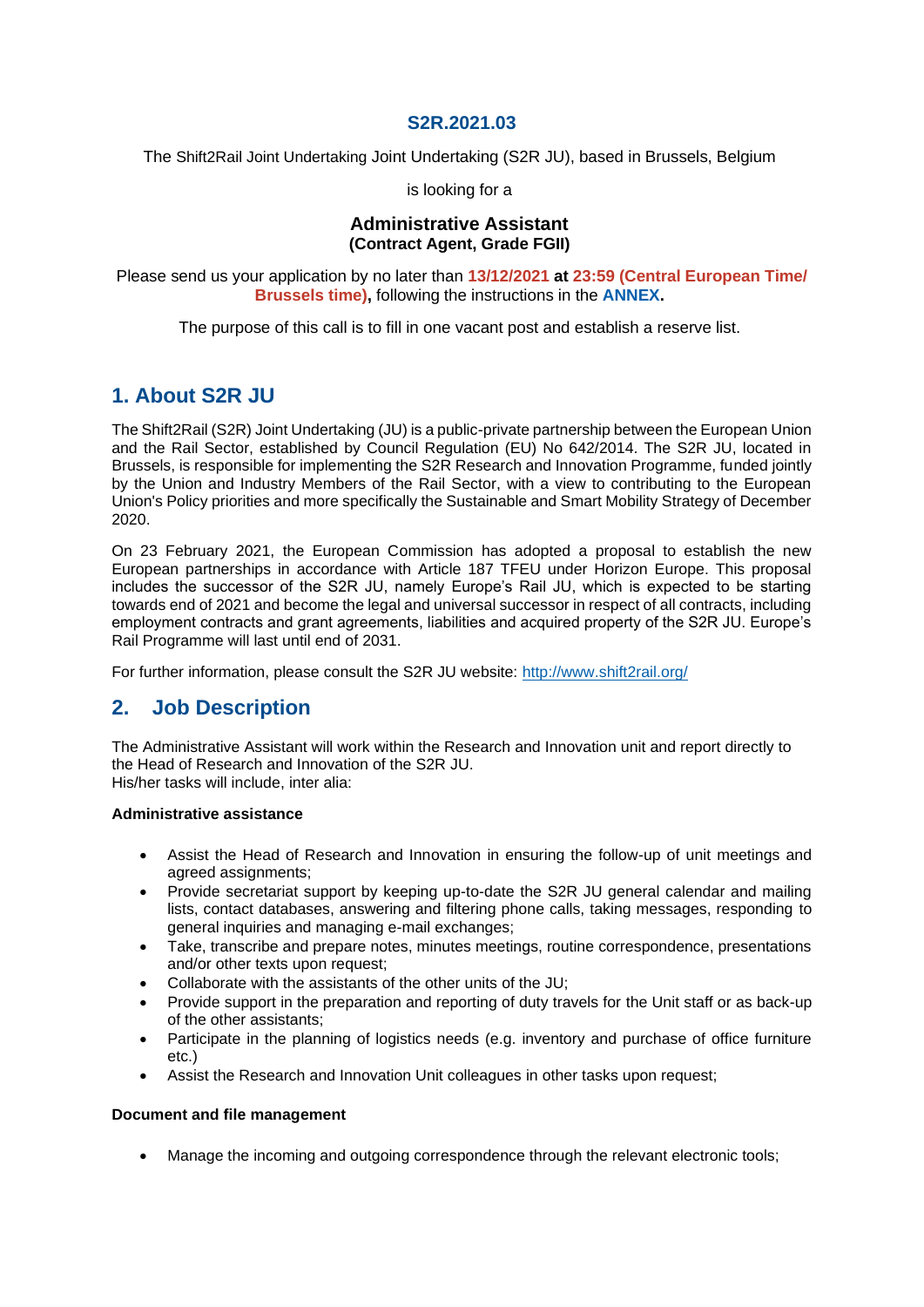### **S2R.2021.03**

The Shift2Rail Joint Undertaking Joint Undertaking (S2R JU), based in Brussels, Belgium

is looking for a

### **Administrative Assistant (Contract Agent, Grade FGII)**

Please send us your application by no later than **13/12/2021 at 23:59 (Central European Time/ Brussels time),** following the instructions in the **[ANNEX.](https://shift2rail.org/wp-content/uploads/2021/11/S2R_Annex-to-the-vacancy-notice.pdf)**

The purpose of this call is to fill in one vacant post and establish a reserve list.

# **1. About S2R JU**

The Shift2Rail (S2R) Joint Undertaking (JU) is a public-private partnership between the European Union and the Rail Sector, established by Council Regulation (EU) No 642/2014. The S2R JU, located in Brussels, is responsible for implementing the S2R Research and Innovation Programme, funded jointly by the Union and Industry Members of the Rail Sector, with a view to contributing to the European Union's Policy priorities and more specifically the Sustainable and Smart Mobility Strategy of December 2020.

On 23 February 2021, the European Commission has adopted a proposal to establish the new European partnerships in accordance with Article 187 TFEU under Horizon Europe. This proposal includes the successor of the S2R JU, namely Europe's Rail JU, which is expected to be starting towards end of 2021 and become the legal and universal successor in respect of all contracts, including employment contracts and grant agreements, liabilities and acquired property of the S2R JU. Europe's Rail Programme will last until end of 2031.

For further information, please consult the S2R JU website: <http://www.shift2rail.org/>

# **2. Job Description**

The Administrative Assistant will work within the Research and Innovation unit and report directly to the Head of Research and Innovation of the S2R JU. His/her tasks will include, inter alia:

### **Administrative assistance**

- Assist the Head of Research and Innovation in ensuring the follow-up of unit meetings and agreed assignments;
- Provide secretariat support by keeping up-to-date the S2R JU general calendar and mailing lists, contact databases, answering and filtering phone calls, taking messages, responding to general inquiries and managing e-mail exchanges;
- Take, transcribe and prepare notes, minutes meetings, routine correspondence, presentations and/or other texts upon request;
- Collaborate with the assistants of the other units of the JU;
- Provide support in the preparation and reporting of duty travels for the Unit staff or as back-up of the other assistants;
- Participate in the planning of logistics needs (e.g. inventory and purchase of office furniture etc.)
- Assist the Research and Innovation Unit colleagues in other tasks upon request;

#### **Document and file management**

• Manage the incoming and outgoing correspondence through the relevant electronic tools;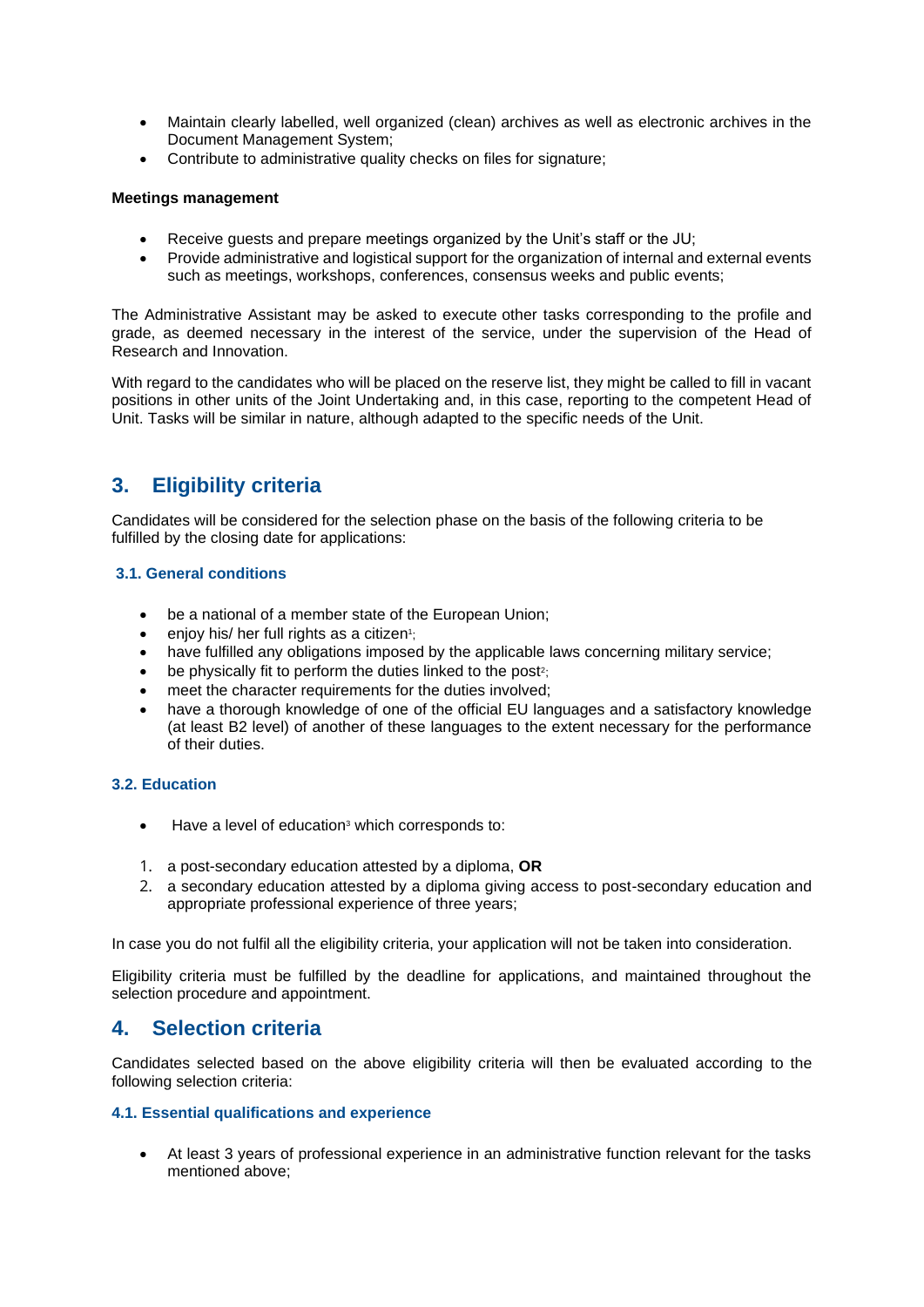- Maintain clearly labelled, well organized (clean) archives as well as electronic archives in the Document Management System;
- Contribute to administrative quality checks on files for signature;

#### **Meetings management**

- Receive guests and prepare meetings organized by the Unit's staff or the JU;
- Provide administrative and logistical support for the organization of internal and external events such as meetings, workshops, conferences, consensus weeks and public events;

The Administrative Assistant may be asked to execute other tasks corresponding to the profile and grade, as deemed necessary in the interest of the service, under the supervision of the Head of Research and Innovation.

With regard to the candidates who will be placed on the reserve list, they might be called to fill in vacant positions in other units of the Joint Undertaking and, in this case, reporting to the competent Head of Unit. Tasks will be similar in nature, although adapted to the specific needs of the Unit.

# **3. Eligibility criteria**

Candidates will be considered for the selection phase on the basis of the following criteria to be fulfilled by the closing date for applications:

#### **3.1. General conditions**

- be a national of a member state of the European Union;
- enjoy his/ her full rights as a citizen<sup>1</sup>;
- have fulfilled any obligations imposed by the applicable laws concerning military service;
- $\bullet$  be physically fit to perform the duties linked to the post<sup>2</sup>;
- meet the character requirements for the duties involved:
- have a thorough knowledge of one of the official EU languages and a satisfactory knowledge (at least B2 level) of another of these languages to the extent necessary for the performance of their duties.

#### **3.2. Education**

- Have a level of education<sup>3</sup> which corresponds to:
- 1. a post-secondary education attested by a diploma, **OR**
- 2. a secondary education attested by a diploma giving access to post-secondary education and appropriate professional experience of three years;

In case you do not fulfil all the eligibility criteria, your application will not be taken into consideration.

Eligibility criteria must be fulfilled by the deadline for applications, and maintained throughout the selection procedure and appointment.

## **4. Selection criteria**

Candidates selected based on the above eligibility criteria will then be evaluated according to the following selection criteria:

#### **4.1. Essential qualifications and experience**

• At least 3 years of professional experience in an administrative function relevant for the tasks mentioned above;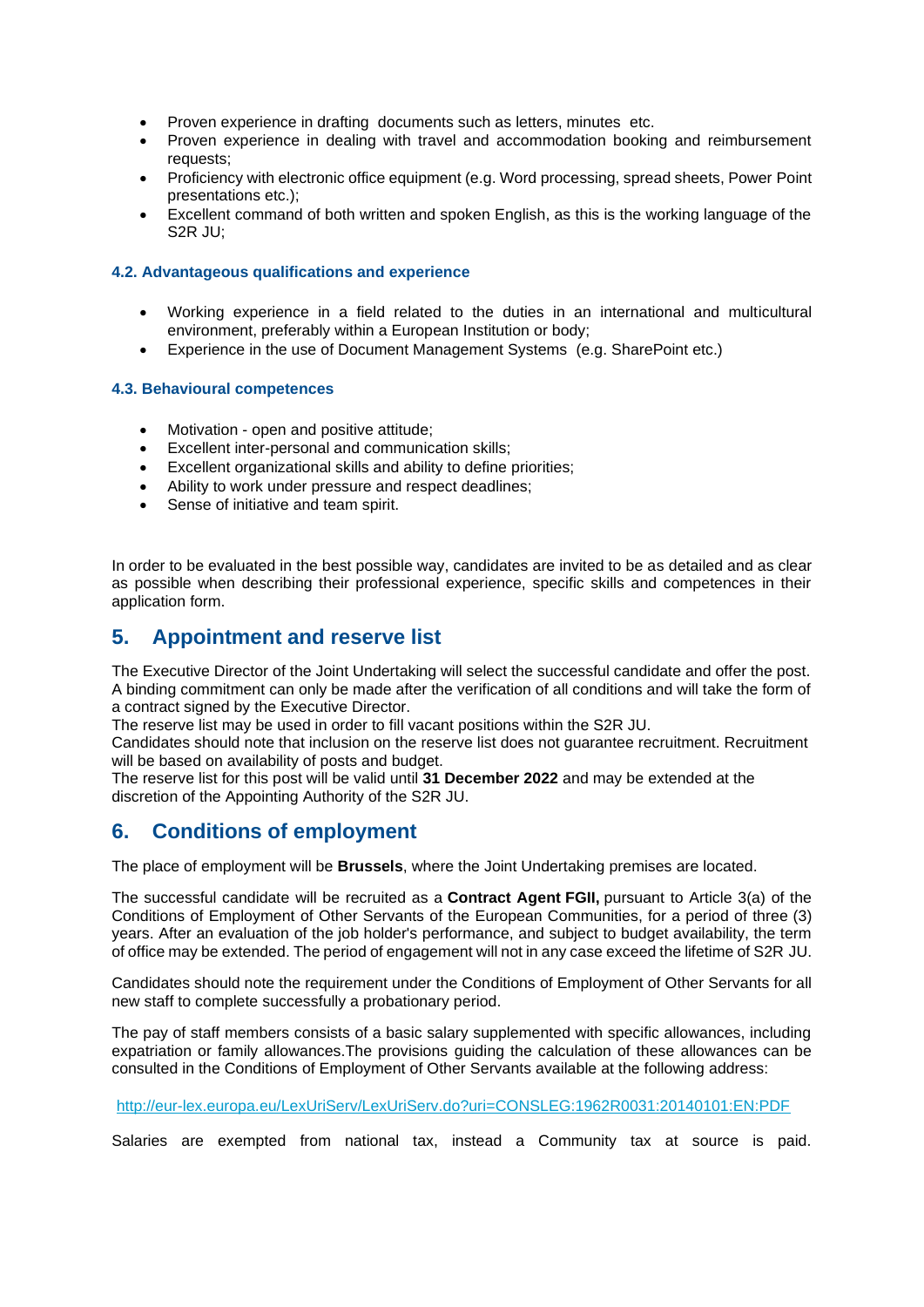- Proven experience in drafting documents such as letters, minutes etc.
- Proven experience in dealing with travel and accommodation booking and reimbursement requests;
- Proficiency with electronic office equipment (e.g. Word processing, spread sheets, Power Point presentations etc.);
- Excellent command of both written and spoken English, as this is the working language of the S2R JU;

#### **4.2. Advantageous qualifications and experience**

- Working experience in a field related to the duties in an international and multicultural environment, preferably within a European Institution or body;
- Experience in the use of Document Management Systems (e.g. SharePoint etc.)

#### **4.3. Behavioural competences**

- Motivation open and positive attitude;
- Excellent inter-personal and communication skills;
- Excellent organizational skills and ability to define priorities;
- Ability to work under pressure and respect deadlines:
- Sense of initiative and team spirit.

In order to be evaluated in the best possible way, candidates are invited to be as detailed and as clear as possible when describing their professional experience, specific skills and competences in their application form.

## **5. Appointment and reserve list**

The Executive Director of the Joint Undertaking will select the successful candidate and offer the post. A binding commitment can only be made after the verification of all conditions and will take the form of a contract signed by the Executive Director.

The reserve list may be used in order to fill vacant positions within the S2R JU.

Candidates should note that inclusion on the reserve list does not guarantee recruitment. Recruitment will be based on availability of posts and budget.

The reserve list for this post will be valid until **31 December 2022** and may be extended at the discretion of the Appointing Authority of the S2R JU.

## **6. Conditions of employment**

The place of employment will be **Brussels**, where the Joint Undertaking premises are located.

The successful candidate will be recruited as a **Contract Agent FGII,** pursuant to Article 3(a) of the Conditions of Employment of Other Servants of the European Communities, for a period of three (3) years. After an evaluation of the job holder's performance, and subject to budget availability, the term of office may be extended. The period of engagement will not in any case exceed the lifetime of S2R JU.

Candidates should note the requirement under the Conditions of Employment of Other Servants for all new staff to complete successfully a probationary period.

The pay of staff members consists of a basic salary supplemented with specific allowances, including expatriation or family allowances.The provisions guiding the calculation of these allowances can be consulted in the Conditions of Employment of Other Servants available at the following address:

#### <http://eur-lex.europa.eu/LexUriServ/LexUriServ.do?uri=CONSLEG:1962R0031:20140101:EN:PDF>

Salaries are exempted from national tax, instead a Community tax at source is paid.